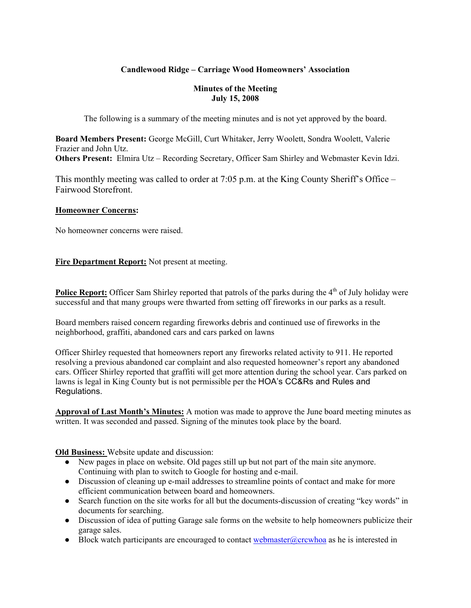## **Candlewood Ridge – Carriage Wood Homeowners' Association**

#### **Minutes of the Meeting July 15, 2008**

The following is a summary of the meeting minutes and is not yet approved by the board.

**Board Members Present:** George McGill, Curt Whitaker, Jerry Woolett, Sondra Woolett, Valerie Frazier and John Utz. **Others Present:** Elmira Utz – Recording Secretary, Officer Sam Shirley and Webmaster Kevin Idzi.

This monthly meeting was called to order at 7:05 p.m. at the King County Sheriff's Office – Fairwood Storefront.

#### **Homeowner Concerns:**

No homeowner concerns were raised.

**Fire Department Report:** Not present at meeting.

**Police Report:** Officer Sam Shirley reported that patrols of the parks during the 4<sup>th</sup> of July holiday were successful and that many groups were thwarted from setting off fireworks in our parks as a result.

Board members raised concern regarding fireworks debris and continued use of fireworks in the neighborhood, graffiti, abandoned cars and cars parked on lawns

Officer Shirley requested that homeowners report any fireworks related activity to 911. He reported resolving a previous abandoned car complaint and also requested homeowner's report any abandoned cars. Officer Shirley reported that graffiti will get more attention during the school year. Cars parked on lawns is legal in King County but is not permissible per the HOA's CC&Rs and Rules and Regulations.

**Approval of Last Month's Minutes:** A motion was made to approve the June board meeting minutes as written. It was seconded and passed. Signing of the minutes took place by the board.

**Old Business:** Website update and discussion:

- New pages in place on website. Old pages still up but not part of the main site anymore. Continuing with plan to switch to Google for hosting and e-mail.
- Discussion of cleaning up e-mail addresses to streamline points of contact and make for more efficient communication between board and homeowners.
- Search function on the site works for all but the documents-discussion of creating "key words" in documents for searching.
- Discussion of idea of putting Garage sale forms on the website to help homeowners publicize their garage sales.
- $\bullet$  Block watch participants are encouraged to contact webmaster@crcwhoa as he is interested in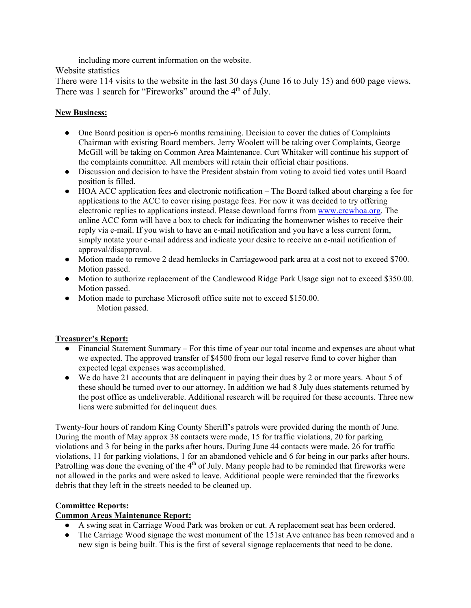including more current information on the website.

Website statistics

There were 114 visits to the website in the last 30 days (June 16 to July 15) and 600 page views. There was 1 search for "Fireworks" around the 4<sup>th</sup> of July.

## **New Business:**

- One Board position is open-6 months remaining. Decision to cover the duties of Complaints Chairman with existing Board members. Jerry Woolett will be taking over Complaints, George McGill will be taking on Common Area Maintenance. Curt Whitaker will continue his support of the complaints committee. All members will retain their official chair positions.
- Discussion and decision to have the President abstain from voting to avoid tied votes until Board position is filled.
- HOA ACC application fees and electronic notification The Board talked about charging a fee for applications to the ACC to cover rising postage fees. For now it was decided to try offering electronic replies to applications instead. Please download forms from www.crcwhoa.org. The online ACC form will have a box to check for indicating the homeowner wishes to receive their reply via e-mail. If you wish to have an e-mail notification and you have a less current form, simply notate your e-mail address and indicate your desire to receive an e-mail notification of approval/disapproval.
- Motion made to remove 2 dead hemlocks in Carriagewood park area at a cost not to exceed \$700. Motion passed.
- Motion to authorize replacement of the Candlewood Ridge Park Usage sign not to exceed \$350.00. Motion passed.
- Motion made to purchase Microsoft office suite not to exceed \$150.00. Motion passed.

## **Treasurer's Report:**

- Financial Statement Summary For this time of year our total income and expenses are about what we expected. The approved transfer of \$4500 from our legal reserve fund to cover higher than expected legal expenses was accomplished.
- We do have 21 accounts that are delinquent in paying their dues by 2 or more years. About 5 of these should be turned over to our attorney. In addition we had 8 July dues statements returned by the post office as undeliverable. Additional research will be required for these accounts. Three new liens were submitted for delinquent dues.

Twenty-four hours of random King County Sheriff's patrols were provided during the month of June. During the month of May approx 38 contacts were made, 15 for traffic violations, 20 for parking violations and 3 for being in the parks after hours. During June 44 contacts were made, 26 for traffic violations, 11 for parking violations, 1 for an abandoned vehicle and 6 for being in our parks after hours. Patrolling was done the evening of the  $4<sup>th</sup>$  of July. Many people had to be reminded that fireworks were not allowed in the parks and were asked to leave. Additional people were reminded that the fireworks debris that they left in the streets needed to be cleaned up.

## **Committee Reports:**

## **Common Areas Maintenance Report:**

- A swing seat in Carriage Wood Park was broken or cut. A replacement seat has been ordered.
- The Carriage Wood signage the west monument of the 151st Ave entrance has been removed and a new sign is being built. This is the first of several signage replacements that need to be done.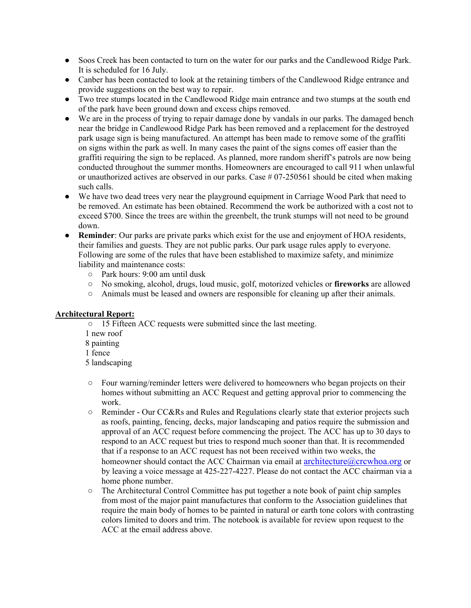- Soos Creek has been contacted to turn on the water for our parks and the Candlewood Ridge Park. It is scheduled for 16 July.
- Canber has been contacted to look at the retaining timbers of the Candlewood Ridge entrance and provide suggestions on the best way to repair.
- Two tree stumps located in the Candlewood Ridge main entrance and two stumps at the south end of the park have been ground down and excess chips removed.
- We are in the process of trying to repair damage done by vandals in our parks. The damaged bench near the bridge in Candlewood Ridge Park has been removed and a replacement for the destroyed park usage sign is being manufactured. An attempt has been made to remove some of the graffiti on signs within the park as well. In many cases the paint of the signs comes off easier than the graffiti requiring the sign to be replaced. As planned, more random sheriff's patrols are now being conducted throughout the summer months. Homeowners are encouraged to call 911 when unlawful or unauthorized actives are observed in our parks. Case  $\#07$ -250561 should be cited when making such calls.
- We have two dead trees very near the playground equipment in Carriage Wood Park that need to be removed. An estimate has been obtained. Recommend the work be authorized with a cost not to exceed \$700. Since the trees are within the greenbelt, the trunk stumps will not need to be ground down.
- **Reminder**: Our parks are private parks which exist for the use and enjoyment of HOA residents, their families and guests. They are not public parks. Our park usage rules apply to everyone. Following are some of the rules that have been established to maximize safety, and minimize liability and maintenance costs:
	- Park hours: 9:00 am until dusk
	- No smoking, alcohol, drugs, loud music, golf, motorized vehicles or **fireworks** are allowed
	- Animals must be leased and owners are responsible for cleaning up after their animals.

#### **Architectural Report:**

- 15 Fifteen ACC requests were submitted since the last meeting.
- 1 new roof
- 8 painting
- 1 fence
- 5 landscaping
- Four warning/reminder letters were delivered to homeowners who began projects on their homes without submitting an ACC Request and getting approval prior to commencing the work.
- Reminder Our CC&Rs and Rules and Regulations clearly state that exterior projects such as roofs, painting, fencing, decks, major landscaping and patios require the submission and approval of an ACC request before commencing the project. The ACC has up to 30 days to respond to an ACC request but tries to respond much sooner than that. It is recommended that if a response to an ACC request has not been received within two weeks, the homeowner should contact the ACC Chairman via email at architecture@crcwhoa.org or by leaving a voice message at 425-227-4227. Please do not contact the ACC chairman via a home phone number.
- The Architectural Control Committee has put together a note book of paint chip samples from most of the major paint manufactures that conform to the Association guidelines that require the main body of homes to be painted in natural or earth tone colors with contrasting colors limited to doors and trim. The notebook is available for review upon request to the ACC at the email address above.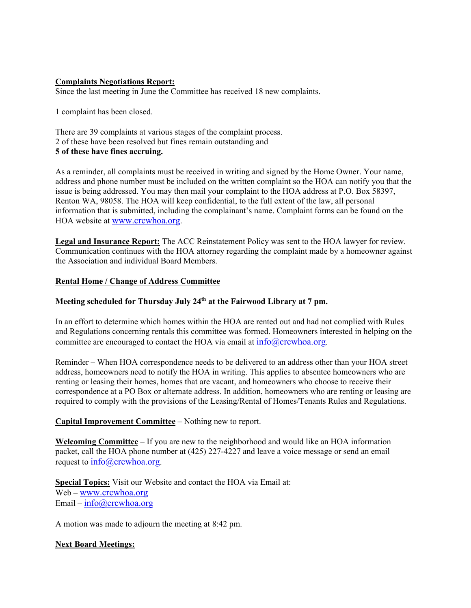#### **Complaints Negotiations Report:**

Since the last meeting in June the Committee has received 18 new complaints.

1 complaint has been closed.

There are 39 complaints at various stages of the complaint process. 2 of these have been resolved but fines remain outstanding and **5 of these have fines accruing.**

As a reminder, all complaints must be received in writing and signed by the Home Owner. Your name, address and phone number must be included on the written complaint so the HOA can notify you that the issue is being addressed. You may then mail your complaint to the HOA address at P.O. Box 58397, Renton WA, 98058. The HOA will keep confidential, to the full extent of the law, all personal information that is submitted, including the complainant's name. Complaint forms can be found on the HOA website at www.crcwhoa.org.

**Legal and Insurance Report:** The ACC Reinstatement Policy was sent to the HOA lawyer for review. Communication continues with the HOA attorney regarding the complaint made by a homeowner against the Association and individual Board Members.

#### **Rental Home / Change of Address Committee**

### **Meeting scheduled for Thursday July 24th at the Fairwood Library at 7 pm.**

In an effort to determine which homes within the HOA are rented out and had not complied with Rules and Regulations concerning rentals this committee was formed. Homeowners interested in helping on the committee are encouraged to contact the HOA via email at  $info@crcwhoa.org$ .

Reminder – When HOA correspondence needs to be delivered to an address other than your HOA street address, homeowners need to notify the HOA in writing. This applies to absentee homeowners who are renting or leasing their homes, homes that are vacant, and homeowners who choose to receive their correspondence at a PO Box or alternate address. In addition, homeowners who are renting or leasing are required to comply with the provisions of the Leasing/Rental of Homes/Tenants Rules and Regulations.

#### **Capital Improvement Committee** – Nothing new to report.

**Welcoming Committee** – If you are new to the neighborhood and would like an HOA information packet, call the HOA phone number at (425) 227-4227 and leave a voice message or send an email request to  $info@crcwhoa.org$ .

**Special Topics:** Visit our Website and contact the HOA via Email at: Web – www.crcwhoa.org Email –  $info@crcwhoa.org$ 

A motion was made to adjourn the meeting at 8:42 pm.

#### **Next Board Meetings:**